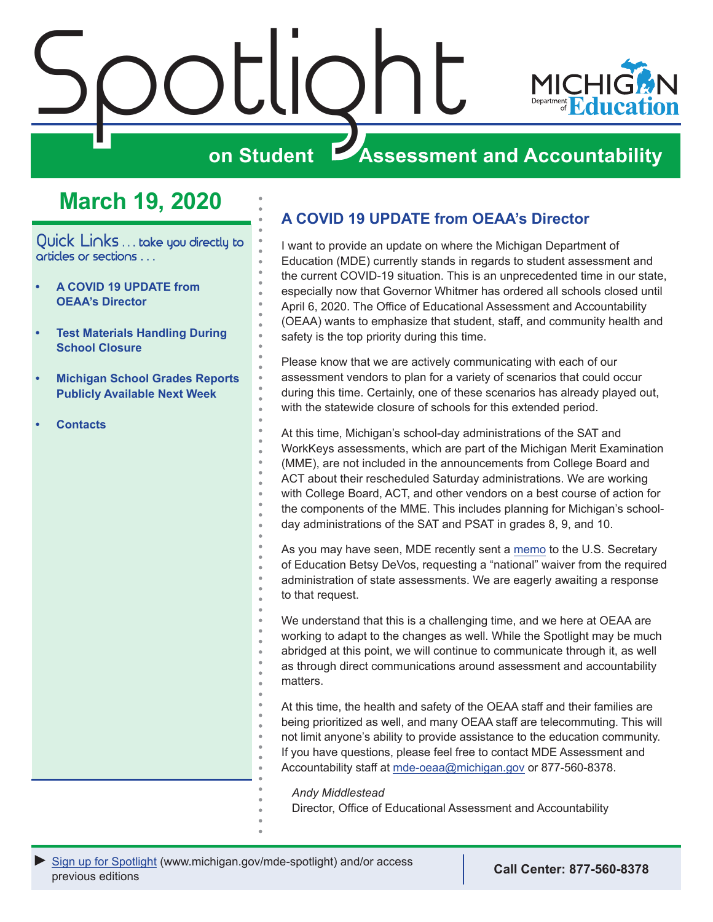<span id="page-0-0"></span>

## **March 19, 2020**

Quick Links ... take you directly to articles or sections . . .

- **• A COVID 19 UPDATE from OEAA's Director**
- **• [Test Materials Handling During](#page-1-0)  [School Closure](#page-1-0)**
- **• [Michigan School Grades Reports](#page-1-0)  [Publicly Available Next Week](#page-1-0)**
- **• [Contacts](#page-2-0)**

### **A COVID 19 UPDATE from OEAA's Director**

I want to provide an update on where the Michigan Department of Education (MDE) currently stands in regards to student assessment and the current COVID-19 situation. This is an unprecedented time in our state, especially now that Governor Whitmer has ordered all schools closed until April 6, 2020. The Office of Educational Assessment and Accountability (OEAA) wants to emphasize that student, staff, and community health and safety is the top priority during this time.

Please know that we are actively communicating with each of our assessment vendors to plan for a variety of scenarios that could occur during this time. Certainly, one of these scenarios has already played out, with the statewide closure of schools for this extended period.

At this time, Michigan's school-day administrations of the SAT and WorkKeys assessments, which are part of the Michigan Merit Examination (MME), are not included in the announcements from College Board and ACT about their rescheduled Saturday administrations. We are working with College Board, ACT, and other vendors on a best course of action for the components of the MME. This includes planning for Michigan's schoolday administrations of the SAT and PSAT in grades 8, 9, and 10.

As you may have seen, MDE recently sent a [memo](https://www.michigan.gov/mde/0,4615,7-140--521974--,00.html) to the U.S. Secretary of Education Betsy DeVos, requesting a "national" waiver from the required administration of state assessments. We are eagerly awaiting a response to that request.

We understand that this is a challenging time, and we here at OEAA are working to adapt to the changes as well. While the Spotlight may be much abridged at this point, we will continue to communicate through it, as well as through direct communications around assessment and accountability matters.

At this time, the health and safety of the OEAA staff and their families are being prioritized as well, and many OEAA staff are telecommuting. This will not limit anyone's ability to provide assistance to the education community. If you have questions, please feel free to contact MDE Assessment and Accountability staff at [mde-oeaa@michigan.gov](mailto:mde-oeaa%40michigan.gov?subject=) or 877-560-8378.

*Andy Middlestead*

Director, Office of Educational Assessment and Accountability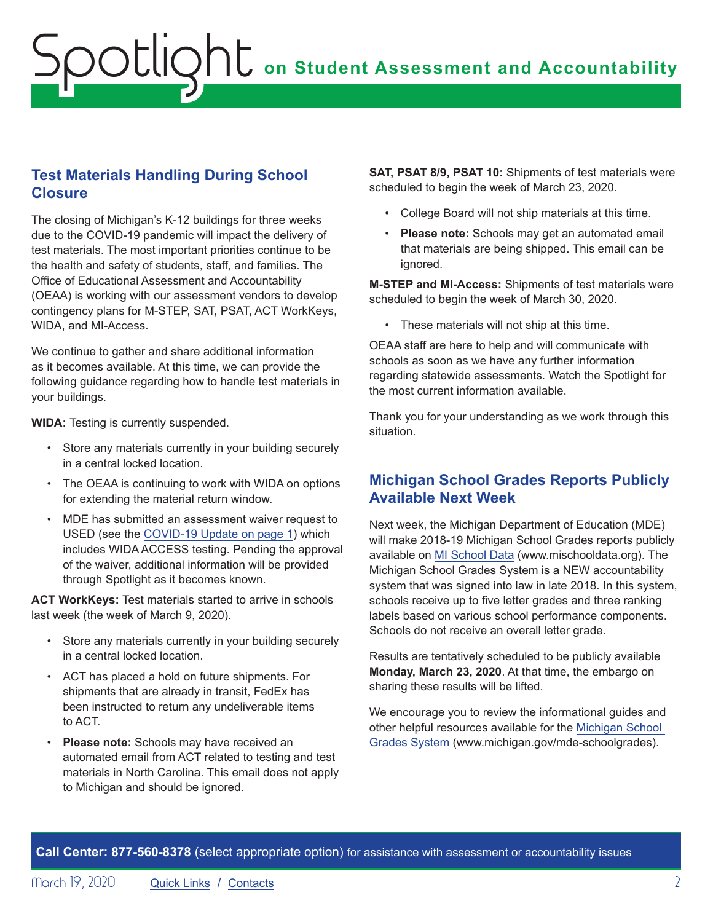# <span id="page-1-0"></span>**on Student Assessment and Accountability** Spotlight

#### **Test Materials Handling During School Closure**

The closing of Michigan's K-12 buildings for three weeks due to the COVID-19 pandemic will impact the delivery of test materials. The most important priorities continue to be the health and safety of students, staff, and families. The Office of Educational Assessment and Accountability (OEAA) is working with our assessment vendors to develop contingency plans for M-STEP, SAT, PSAT, ACT WorkKeys, WIDA, and MI-Access.

We continue to gather and share additional information as it becomes available. At this time, we can provide the following guidance regarding how to handle test materials in your buildings.

**WIDA:** Testing is currently suspended.

- Store any materials currently in your building securely in a central locked location.
- The OEAA is continuing to work with WIDA on options for extending the material return window.
- MDE has submitted an assessment waiver request to USED (see the [COVID-19 Update on page 1\)](#page-0-0) which includes WIDA ACCESS testing. Pending the approval of the waiver, additional information will be provided through Spotlight as it becomes known.

**ACT WorkKeys:** Test materials started to arrive in schools last week (the week of March 9, 2020).

- Store any materials currently in your building securely in a central locked location.
- ACT has placed a hold on future shipments. For shipments that are already in transit, FedEx has been instructed to return any undeliverable items to ACT.
- **Please note:** Schools may have received an automated email from ACT related to testing and test materials in North Carolina. This email does not apply to Michigan and should be ignored.

**SAT, PSAT 8/9, PSAT 10:** Shipments of test materials were scheduled to begin the week of March 23, 2020.

- College Board will not ship materials at this time.
- **Please note:** Schools may get an automated email that materials are being shipped. This email can be ignored.

**M-STEP and MI-Access:** Shipments of test materials were scheduled to begin the week of March 30, 2020.

• These materials will not ship at this time.

OEAA staff are here to help and will communicate with schools as soon as we have any further information regarding statewide assessments. Watch the Spotlight for the most current information available.

Thank you for your understanding as we work through this situation.

#### **Michigan School Grades Reports Publicly Available Next Week**

Next week, the Michigan Department of Education (MDE) will make 2018-19 Michigan School Grades reports publicly available on [MI School Data](https://www.mischooldata.org/) (www.mischooldata.org). The Michigan School Grades System is a NEW accountability system that was signed into law in late 2018. In this system, schools receive up to five letter grades and three ranking labels based on various school performance components. Schools do not receive an overall letter grade.

Results are tentatively scheduled to be publicly available **Monday, March 23, 2020**. At that time, the embargo on sharing these results will be lifted.

We encourage you to review the informational guides and other helpful resources available for the [Michigan School](http://www.michigan.gov/mde-schoolgrades)  [Grades System](http://www.michigan.gov/mde-schoolgrades) (www.michigan.gov/mde-schoolgrades).

**Call Center: 877-560-8378** (select appropriate option) for assistance with assessment or accountability issues